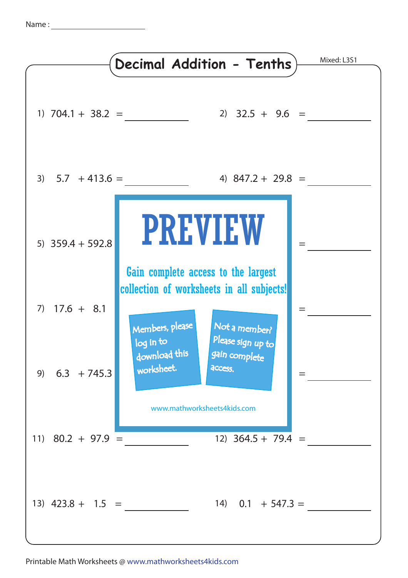